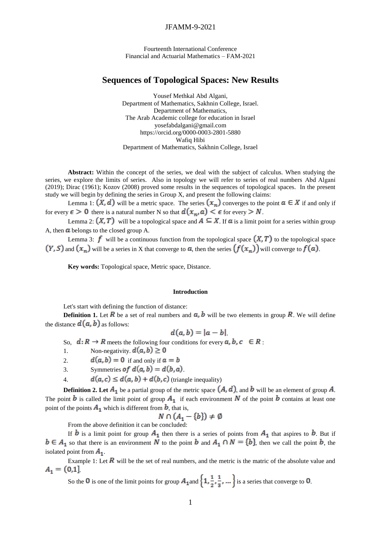## JFAMM-9-2021

Fourteenth International Conference Financial and Actuarial Mathematics – FAM-2021

# **Sequences of Topological Spaces: New Results**

Yousef Methkal Abd Algani, Department of Mathematics, Sakhnin College, Israel. Department of Mathematics, The Arab Academic college for education in Israel [yosefabdalgani@gmail.com](mailto:yosefabdalgani@gmail.com) <https://orcid.org/0000-0003-2801-5880> Wafiq Hibi Department of Mathematics, Sakhnin College, Israel

**Abstract:** Within the concept of the series, we deal with the subject of calculus. When studying the series, we explore the limits of series. Also in topology we will refer to series of real numbers Abd Algani (2019); Dirac (1961); Kozov (2008) proved some results in the sequences of topological spaces. In the present study we will begin by defining the series in Group X, and present the following claims:

Lemma 1:  $(X, d)$  will be a metric space. The series  $(x_n)$  converges to the point  $a \in X$  if and only if for every  $\epsilon > 0$  there is a natural number N so that  $d(x_n, a) < \epsilon$  for every  $> N$ .

Lemma 2:  $(X, T)$  will be a topological space and  $A \subseteq X$ . If  $\alpha$  is a limit point for a series within group A, then  $\alpha$  belongs to the closed group A.

Lemma 3:  $f$  will be a continuous function from the topological space  $(X, T)$  to the topological space  $(Y, S)$  and  $(x_n)$  will be a series in X that converge to  $a$ , then the series  $(f(x_n))$  will converge to  $f(a)$ .

**Key words:** Topological space, Metric space, Distance.

### **Introduction**

Let's start with defining the function of distance:

**Definition 1.** Let  $\vec{R}$  be a set of real numbers and  $\vec{a}$ ,  $\vec{b}$  will be two elements in group  $\vec{R}$ . We will define the distance  $d(a, b)$  as follows:

$$
d(a,b)=|a-b|
$$

So,  $d: R \to R$  meets the following four conditions for every  $a, b, c \in R$ .

1. Non-negativity.  $d(a, b) \ge 0$ 

2. 
$$
d(a, b) = 0
$$
 if and only if  $a = b$ 

3. Symmetries of 
$$
d(a, b) = d(b, a)
$$
.

4.  $d(a, c) \leq d(a, b) + d(b, c)$  (triangle inequality)

**Definition 2. Let**  $A_1$  **be a partial group of the metric space**  $(A, d)$ **, and <b>b** will be an element of group A. The point  $b$  is called the limit point of group  $A_1$  if each environment  $N$  of the point  $b$  contains at least one point of the points  $A_1$  which is different from  $b$ , that is,

$$
N \cap (A_1 - \{b\}) \neq \emptyset
$$

From the above definition it can be concluded:

If **b** is a limit point for group  $A_1$  then there is a series of points from  $A_1$  that aspires to **b**. But if so that there is an environment N to the point b and  $A_1 \cap N = \{b\}$ , then we call the point b, the isolated point from  $A_1$ .

Example 1: Let  $\vec{R}$  will be the set of real numbers, and the metric is the matric of the absolute value and  $A_1 = (0,1]$ 

So the 0 is one of the limit points for group  $A_1$  and  $\left\{1, \frac{1}{2}, \frac{1}{3}, ...\right\}$  is a series that converge to 0.